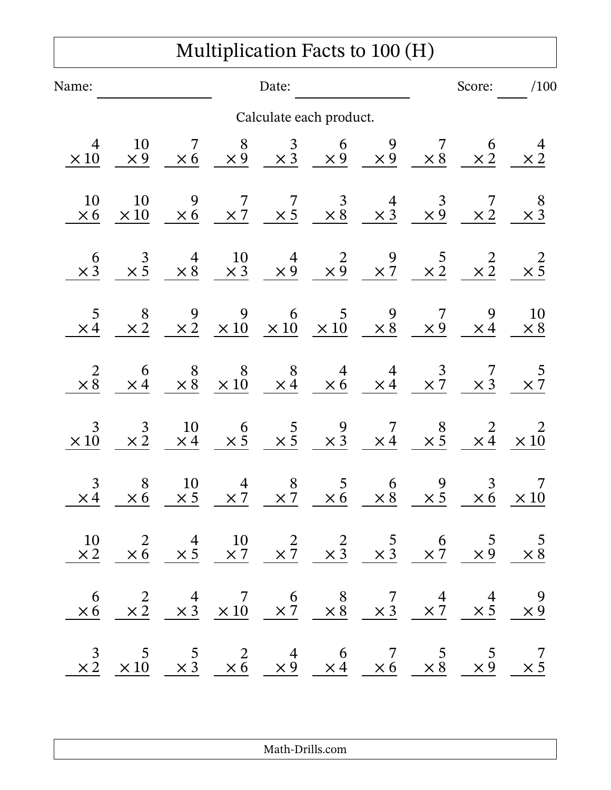## Multiplication Facts to 100 (H)

| Name:                |                                                                                                                                                                                                                                    |                  |                      | Date:                                       |                                                                                                                                                                                                       |                                             |                                                    |                    | Score: /100                                  |
|----------------------|------------------------------------------------------------------------------------------------------------------------------------------------------------------------------------------------------------------------------------|------------------|----------------------|---------------------------------------------|-------------------------------------------------------------------------------------------------------------------------------------------------------------------------------------------------------|---------------------------------------------|----------------------------------------------------|--------------------|----------------------------------------------|
|                      |                                                                                                                                                                                                                                    |                  |                      |                                             | Calculate each product.                                                                                                                                                                               |                                             |                                                    |                    |                                              |
| $\times 10$          | 10<br>$\times 9$                                                                                                                                                                                                                   | $\overline{7}$   |                      |                                             | $\begin{array}{ccccccccc} & 7 & & 8 & & 3 & & 6 & & 9 & & 7 & & 6 \\ \times 6 & & \times 9 & & \times 3 & & \times 9 & & \times 9 & & \times 8 & & \times 2 & \ \end{array}$                          |                                             |                                                    |                    | $\frac{4}{\times 2}$                         |
| 10<br>$\times 6$     | 10<br>$\times 10$                                                                                                                                                                                                                  |                  |                      |                                             | $\begin{array}{ccccccccc} & 9 & & 7 & & 7 & & 3 & & 4 & & 3 & & 7 \\ \times 6 & & \times 7 & & \times 5 & & \times 8 & & \times 3 & & \times 9 & & \times 2 & \ \end{array}$                          |                                             |                                                    |                    | $\begin{array}{c} 8 \\ \times 3 \end{array}$ |
| $\times \frac{6}{3}$ |                                                                                                                                                                                                                                    |                  |                      |                                             | $\begin{array}{ccccccccc}\n & 3 & & 4 & & 10 & & 4 & & 2 & & 9 & & 5 & & 2 \\  \times 5 & & \times 8 & & \times 3 & & \times 9 & & \times 9 & & \times 7 & & \times 2 & & \times 2 & & \n\end{array}$ |                                             |                                                    |                    | $\times \frac{2}{5}$                         |
| $\times 4$           |                                                                                                                                                                                                                                    |                  |                      |                                             | $\begin{array}{ccccccccc} & 8 & & 9 & & 9 & & 6 & & 5 & & 9 & & 7 & & 9 \\ \times 2 & & \times 2 & & \times 10 & & \times 10 & & \times 10 & & \times 8 & & \times 9 & & \times 4 & \ \end{array}$    |                                             |                                                    |                    | $\frac{10}{\times 8}$                        |
| $\times \frac{2}{8}$ | $\begin{array}{c} 6 \\ \times 4 \end{array}$                                                                                                                                                                                       |                  |                      |                                             | $\begin{array}{c ccccc}\n8 & 8 & 8 & 4 & 4 & 3 & 7 \\ \times & 8 & \times 10 & \times 4 & \times 6 & \times 4 & \times 7 & \times 3\n\end{array}$                                                     |                                             |                                                    |                    | $\frac{5}{2}$                                |
| 3<br>$\times 10$     | $\frac{3}{\times 2}$                                                                                                                                                                                                               |                  |                      |                                             | $\begin{array}{ccccccccc}\n10 & 6 & 5 & 9 & 7 & 8 & 2 & 2 \\ \times4 & \times5 & \times5 & \times3 & \times4 & \times5 & \times4 & \times10\n\end{array}$                                             |                                             |                                                    |                    |                                              |
| 3<br>$\times 4$      | 8<br>$\times 6$                                                                                                                                                                                                                    | 10<br>$\times$ 5 | $\frac{4}{\times 7}$ | $\begin{matrix} 8 \\ \times 7 \end{matrix}$ | $\frac{5}{\times 6}$ $\frac{\times}{\times}$                                                                                                                                                          | $\begin{matrix} 6 \\ \times 8 \end{matrix}$ | $\begin{array}{c} 9 \\ \times 5 \\ -1 \end{array}$ | $rac{3}{\times 6}$ | $\times\,10$                                 |
|                      | $\begin{array}{ccccccccc}\n10 & 2 & 4 & 10 & 2 & 2 & 5 & 6 & 5 & 5 \\ \times2 & \times6 & \times5 & \times7 & \times7 & \times3 & \times3 & \times7 & \times9 & \times8\n\end{array}$                                              |                  |                      |                                             |                                                                                                                                                                                                       |                                             |                                                    |                    |                                              |
|                      | $\begin{array}{ccccccccc} & 6 & & 2 & & 4 & & 7 & & 6 & & 8 & & 7 & & 4 & & 4 & & 9 \\ \times 6 & & \times 2 & & \times 3 & & \times 10 & & \times 7 & & \times 8 & & \times 3 & & \times 7 & & \times 5 & & \times 9 \end{array}$ |                  |                      |                                             |                                                                                                                                                                                                       |                                             |                                                    |                    |                                              |
|                      | $\begin{array}{ccccccccc} & 3 & & 5 & & 5 & & 2 & & 4 & & 6 & & 7 & & 5 & & 5 & & 7 \\ \times 2 & \times 10 & & \times 3 & & \times 6 & & \times 9 & & \times 4 & & \times 6 & & \times 8 & & \times 9 & & \times 5 \end{array}$   |                  |                      |                                             |                                                                                                                                                                                                       |                                             |                                                    |                    |                                              |

Math-Drills.com